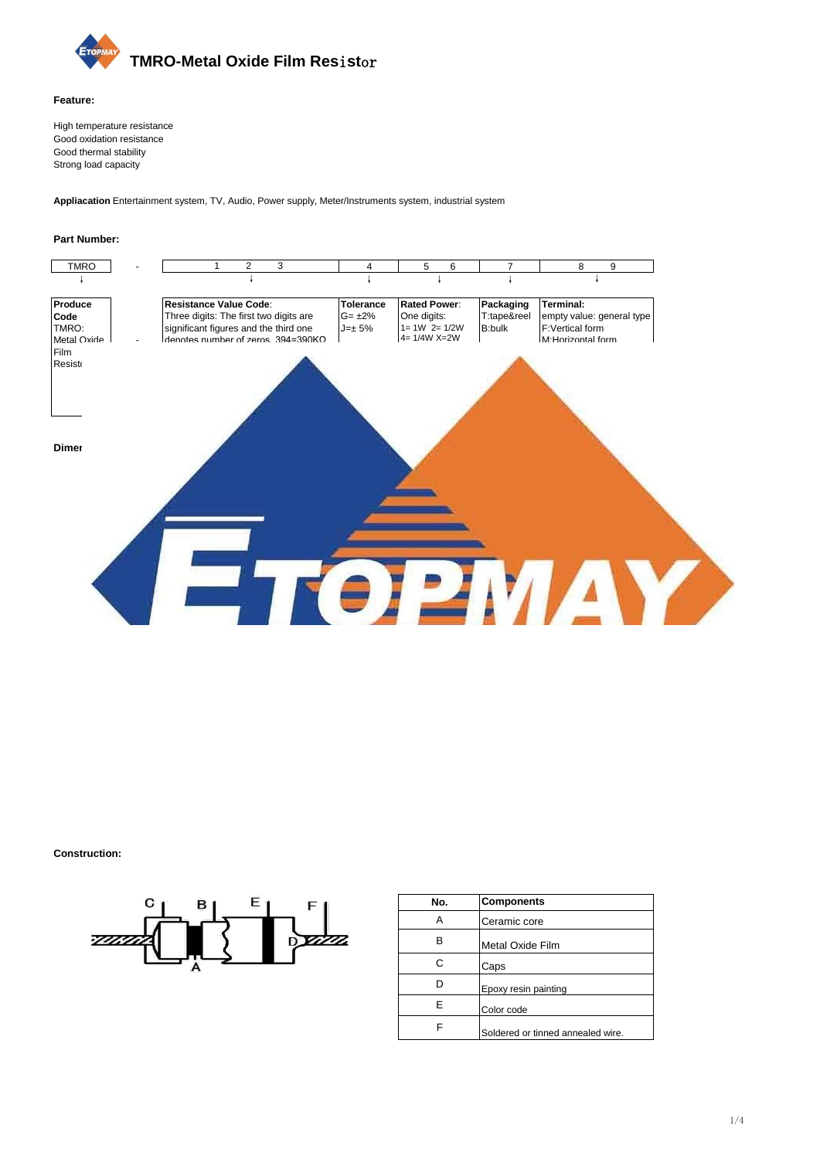

#### **Feature:**

High temperature resistance Good oxidation resistance Good thermal stability Strong load capacity

**Appliacation:**Entertainment system, TV, Audio, Power supply, Meter/Instruments system, industrial system

#### **Part Number:**

| TMRO                                                    |                                                                                                                                        |                              | 6<br>5                                                                                                                      |                              | 9                                                                 |
|---------------------------------------------------------|----------------------------------------------------------------------------------------------------------------------------------------|------------------------------|-----------------------------------------------------------------------------------------------------------------------------|------------------------------|-------------------------------------------------------------------|
| Produce                                                 | Resistance Value Code:                                                                                                                 | <b>Tolerance</b>             | <b>Rated Power:</b>                                                                                                         | Packaging                    | <b>Terminal:</b>                                                  |
| Code<br>TMRO:<br><b>Metal Oxide</b><br>Film<br>Resistor | Three digits: The first two digits are<br>significant figures and the third one<br>denotes number of zeros. $394 = 390 \text{K}\Omega$ | $G = \pm 2\%$<br>$J=\pm 5\%$ | One digits:<br>$1 = 1W$ $2 = 1/2W$<br>$4 = 1/4W$ X=2W<br>$Y=3W$ Z=5W<br>Two digits:<br>$XS=2WS$<br>$YS = 3WS$<br>$ZS = 5WS$ | T:tape&reel<br><b>B:bulk</b> | empty value: general type<br>F:Vertical form<br>M:Horizontal form |

#### **Dimension(mm):**



|                | Type       | <b>Dimensions</b> |       |               |                     |           |  |
|----------------|------------|-------------------|-------|---------------|---------------------|-----------|--|
| Normal<br>Size | Small Size | I±2.0             | L±1.0 | φD            | $\phi$ d $\pm$ 0.05 | $H\pm2.0$ |  |
| 4(1/4W)        | 2S(1/2WS)  | 60                | 6.5   | $2.3 \pm 0.5$ | 0.43                | 26        |  |
| 2(1/2W)        | 1S(1WS)    | 60                | 9.0   | $3.2 \pm 0.5$ | 0.50                | 26        |  |
| 1(1W)          | XS(2WS)    | 60                | 11.5  | $4.5 \pm 1.0$ | 0.68                | 25        |  |
|                |            | 73                | 11.5  | $4.5 \pm 1.0$ | 0.68                | 31        |  |
| X(2W)          | YS(3WS)    | 60                | 15.5  | $5.0 \pm 1.0$ | 0.68                | 23        |  |
|                |            | 81                | 15.5  | $5.0 + 1.0$   | 0.68                | 33        |  |
| Y(3W)          | ZS(5WS)    | 94                | 17.5  | $6.0 + 1.0$   | 0.68                | 38        |  |
|                | Z(5W)      | 94                | 24.5  | $8.0 + 1.0$   | 0.68                | 35        |  |

#### **Construction:**



| No. | <b>Components</b>                 |
|-----|-----------------------------------|
| Α   | Ceramic core                      |
| в   | Metal Oxide Film                  |
| С   | Caps                              |
| D   | Epoxy resin painting              |
| Е   | Color code                        |
|     | Soldered or tinned annealed wire. |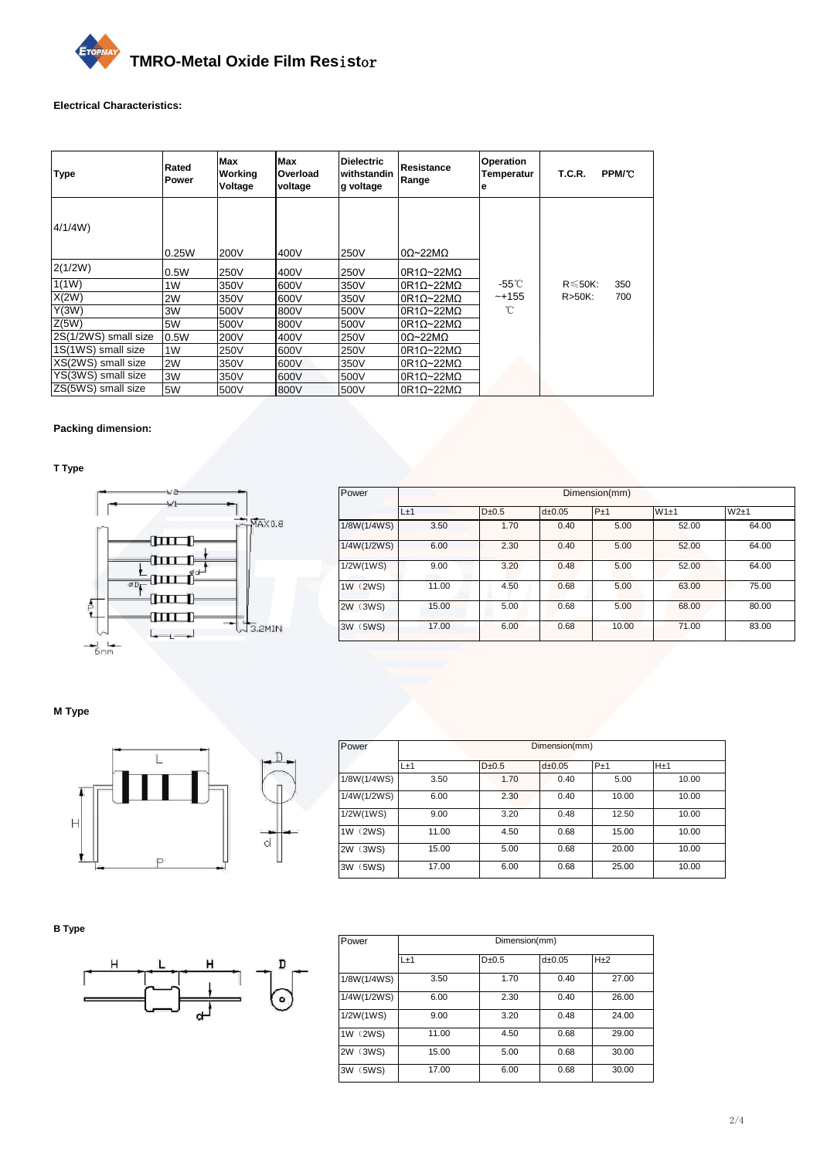

## **Electrical Characteristics:**

| <b>Type</b>          | Rated<br><b>Power</b> | Max<br>Working<br>Voltage | Max<br>Overload<br>voltage | <b>Dielectric</b><br>withstandin<br>g voltage | Resistance<br>Range        | <b>Operation</b><br><b>Temperatur</b><br>е | <b>T.C.R.</b> | <b>PPM/C</b> |
|----------------------|-----------------------|---------------------------|----------------------------|-----------------------------------------------|----------------------------|--------------------------------------------|---------------|--------------|
| 4/1/4W               | 0.25W                 | 200V                      | 400V                       | 250V                                          | $0\Omega \sim 22M\Omega$   |                                            |               |              |
| 2(1/2W)              | 0.5W                  | 250V                      | 400V                       | 250V                                          | $0R1\Omega \sim 22M\Omega$ |                                            |               |              |
| 1(1W)                | 1W                    | 350V                      | 600V                       | 350V                                          | $0R1\Omega$ ~22M $\Omega$  | $-55^{\circ}$ C                            | $R \le 50K$ : | 350          |
| X(2W)                | 2W                    | 350V                      | 600V                       | 350V                                          | $0R1Q \sim 22MQ$           | $-+155$                                    | $R > 50K$ :   | 700          |
| Y(3W)                | 3W                    | 500V                      | 800V                       | 500V                                          | $0R1Q \sim 22MQ$           | °C                                         |               |              |
| Z(5W)                | 5W                    | 500V                      | 800V                       | 500V                                          | $0R1\Omega \sim 22M\Omega$ |                                            |               |              |
| 2S(1/2WS) small size | 0.5W                  | 200V                      | 400V                       | 250V                                          | $0\Omega \sim 22M\Omega$   |                                            |               |              |
| 1S(1WS) small size   | 1W                    | 250V                      | 600V                       | 250V                                          | $0R1Q \sim 22MQ$           |                                            |               |              |
| XS(2WS) small size   | 2W                    | 350V                      | 600V                       | 350V                                          | $0R1Q \sim 22MQ$           |                                            |               |              |
| YS(3WS) small size   | 3W                    | 350V                      | 600V                       | 500V                                          | $0R1\Omega$ ~22M $\Omega$  |                                            |               |              |
| ZS(5WS) small size   | 5W                    | 500V                      | 800V                       | 500V                                          | $0R1\Omega$ ~22M $\Omega$  |                                            |               |              |

### **Packing dimension:**

**T Type**



| Power       | Dimension(mm) |            |             |       |       |       |  |  |
|-------------|---------------|------------|-------------|-------|-------|-------|--|--|
|             | L±1           | $D\pm 0.5$ | $d\pm 0.05$ | P±1   | W1±1  | W2±1  |  |  |
| 1/8W(1/4WS) | 3.50          | 1.70       | 0.40        | 5.00  | 52.00 | 64.00 |  |  |
| 1/4W(1/2WS) | 6.00          | 2.30       | 0.40        | 5.00  | 52.00 | 64.00 |  |  |
| 1/2W(1WS)   | 9.00          | 3.20       | 0.48        | 5.00  | 52.00 | 64.00 |  |  |
| 1W (2WS)    | 11.00         | 4.50       | 0.68        | 5.00  | 63.00 | 75.00 |  |  |
| 2W (3WS)    | 15.00         | 5.00       | 0.68        | 5.00  | 68.00 | 80.00 |  |  |
| 3W (5WS)    | 17.00         | 6.00       | 0.68        | 10.00 | 71.00 | 83.00 |  |  |

**M Type**



| Power       | Dimension(mm) |            |             |       |                 |  |
|-------------|---------------|------------|-------------|-------|-----------------|--|
|             | L±1           | $D\pm 0.5$ | $d\pm 0.05$ | $P+1$ | H <sub>±1</sub> |  |
| 1/8W(1/4WS) | 3.50          | 1.70       | 0.40        | 5.00  | 10.00           |  |
| 1/4W(1/2WS) | 6.00          | 2.30       | 0.40        | 10.00 | 10.00           |  |
| 1/2W(1WS)   | 9.00          | 3.20       | 0.48        | 12.50 | 10.00           |  |
| 1W (2WS)    | 11.00         | 4.50       | 0.68        | 15.00 | 10.00           |  |
| 2W (3WS)    | 15.00         | 5.00       | 0.68        | 20.00 | 10.00           |  |
| 5WS)<br>3W  | 17.00         | 6.00       | 0.68        | 25.00 | 10.00           |  |

**B Type**



| Power       | Dimension(mm) |           |          |                 |  |  |  |  |
|-------------|---------------|-----------|----------|-----------------|--|--|--|--|
|             | $L+1$         | $D + 0.5$ | $d+0.05$ | H <sub>±2</sub> |  |  |  |  |
| 1/8W(1/4WS) | 3.50          | 1.70      | 0.40     | 27.00           |  |  |  |  |
| 1/4W(1/2WS) | 6.00          | 2.30      | 0.40     | 26.00           |  |  |  |  |
| 1/2W(1WS)   | 9.00          | 3.20      | 0.48     | 24.00           |  |  |  |  |
| 1W (2WS)    | 11.00         | 4.50      | 0.68     | 29.00           |  |  |  |  |
| 2W (3WS)    | 15.00         | 5.00      | 0.68     | 30.00           |  |  |  |  |
| 3W (5WS)    | 17.00         | 6.00      | 0.68     | 30.00           |  |  |  |  |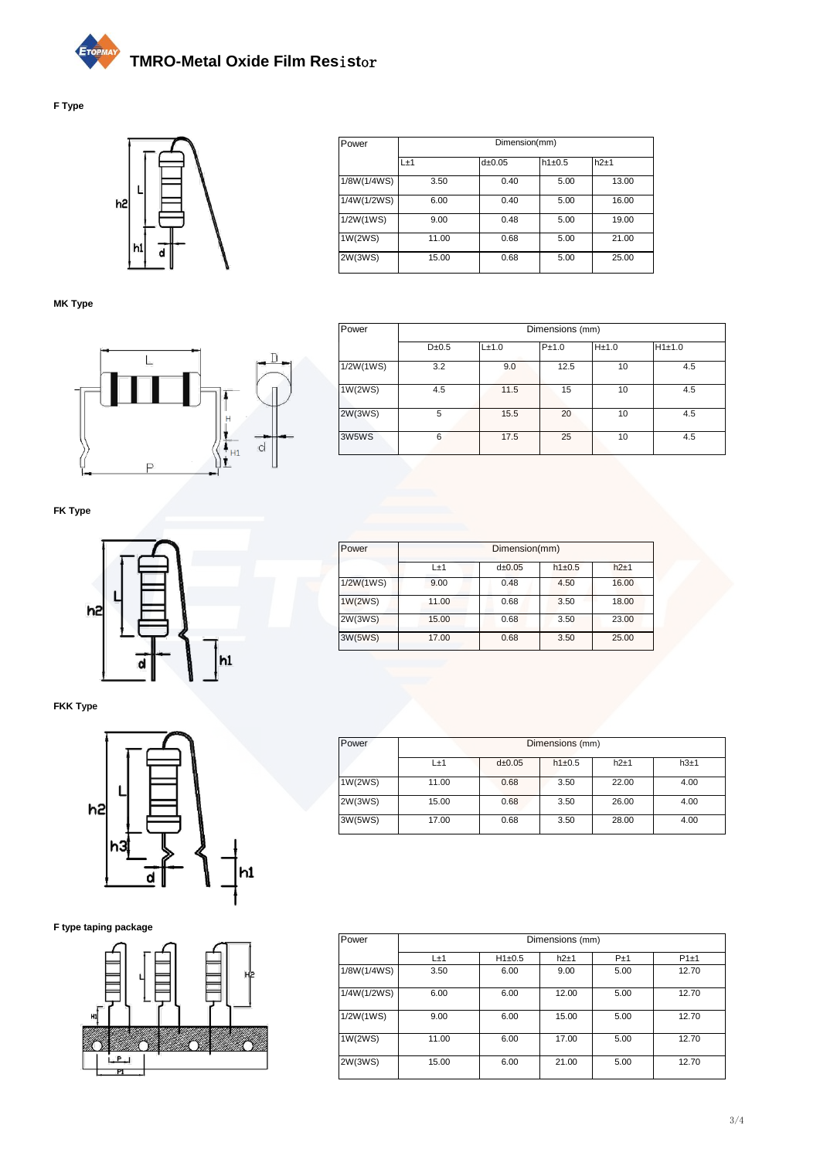# **TMRO-Metal Oxide Film Res**i**st**or

# **F Type**



**MK Type**



| Power       | Dimension(mm) |        |        |       |  |  |  |  |
|-------------|---------------|--------|--------|-------|--|--|--|--|
|             | L±1           | d±0.05 | h1±0.5 | h2±1  |  |  |  |  |
| 1/8W(1/4WS) | 3.50          | 0.40   | 5.00   | 13.00 |  |  |  |  |
| 1/4W(1/2WS) | 6.00          | 0.40   | 5.00   | 16.00 |  |  |  |  |
| 1/2W(1WS)   | 9.00          | 0.48   | 5.00   | 19.00 |  |  |  |  |
| 1W(2WS)     | 11.00         | 0.68   | 5.00   | 21.00 |  |  |  |  |
| 2W(3WS)     | 15.00         | 0.68   | 5.00   | 25.00 |  |  |  |  |

| Power     | Dimensions (mm) |       |       |       |        |  |  |
|-----------|-----------------|-------|-------|-------|--------|--|--|
|           | $D\pm 0.5$      | L±1.0 | P±1.0 | H±1.0 | H1±1.0 |  |  |
| 1/2W(1WS) | 3.2             | 9.0   | 12.5  | 10    | 4.5    |  |  |
| 1W(2WS)   | 4.5             | 11.5  | 15    | 10    | 4.5    |  |  |
| 2W(3WS)   | 5               | 15.5  | 20    | 10    | 4.5    |  |  |
| 3W5WS     | 6               | 17.5  | 25    | 10    | 4.5    |  |  |

**FK Type**



**FKK Type**



**F type taping package**



| Power     | Dimension(mm) |             |            |        |  |  |
|-----------|---------------|-------------|------------|--------|--|--|
|           | $L+1$         | $d\pm 0.05$ | $h1\pm0.5$ | $h2+1$ |  |  |
| 1/2W(1WS) | 9.00          | 0.48        | 4.50       | 16.00  |  |  |
| 1W(2WS)   | 11.00         | 0.68        | 3.50       | 18.00  |  |  |
| 2W(3WS)   | 15.00         | 0.68        | 3.50       | 23.00  |  |  |
| 3W(5WS)   | 17.00         | 0.68        | 3.50       | 25.00  |  |  |

| Power   | Dimensions (mm) |        |            |       |      |  |  |
|---------|-----------------|--------|------------|-------|------|--|--|
|         | L±1             | d±0.05 | $h1\pm0.5$ | h2±1  | h3±1 |  |  |
| 1W(2WS) | 11.00           | 0.68   | 3.50       | 22.00 | 4.00 |  |  |
| 2W(3WS) | 15.00           | 0.68   | 3.50       | 26.00 | 4.00 |  |  |
| 3W(5WS) | 17.00           | 0.68   | 3.50       | 28.00 | 4.00 |  |  |

| Power       | Dimensions (mm) |            |       |      |       |  |  |  |
|-------------|-----------------|------------|-------|------|-------|--|--|--|
|             | $L\pm 1$        | $H1\pm0.5$ | h2±1  | P±1  | P1±1  |  |  |  |
| 1/8W(1/4WS) | 3.50            | 6.00       | 9.00  | 5.00 | 12.70 |  |  |  |
| 1/4W(1/2WS) | 6.00            | 6.00       | 12.00 | 5.00 | 12.70 |  |  |  |
| 1/2W(1WS)   | 9.00            | 6.00       | 15.00 | 5.00 | 12.70 |  |  |  |
| 1W(2WS)     | 11.00           | 6.00       | 17.00 | 5.00 | 12.70 |  |  |  |
| 2W(3WS)     | 15.00           | 6.00       | 21.00 | 5.00 | 12.70 |  |  |  |